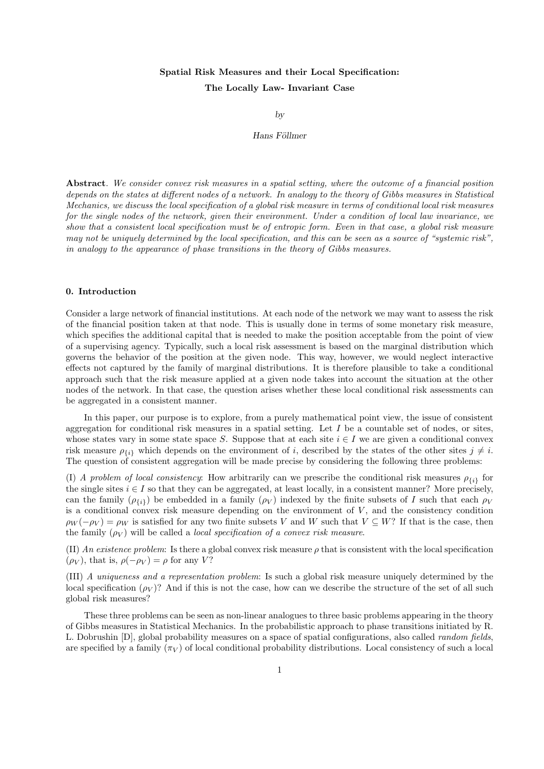# Spatial Risk Measures and their Local Specification: The Locally Law- Invariant Case

*by*

# *Hans F¨ollmer*

Abstract. We consider convex risk measures in a spatial setting, where the outcome of a financial position depends on the states at different nodes of a network. In analogy to the theory of Gibbs measures in Statistical Mechanics, we discuss the local specification of a global risk measure in terms of conditional local risk measures for the single nodes of the network, given their environment. Under a condition of local law invariance, we show that a consistent local specification must be of entropic form. Even in that case, a global risk measure may not be uniquely determined by the local specification, and this can be seen as a source of "systemic risk", in analogy to the appearance of phase transitions in the theory of Gibbs measures.

#### 0. Introduction

Consider a large network of financial institutions. At each node of the network we may want to assess the risk of the financial position taken at that node. This is usually done in terms of some monetary risk measure, which specifies the additional capital that is needed to make the position acceptable from the point of view of a supervising agency. Typically, such a local risk assessment is based on the marginal distribution which governs the behavior of the position at the given node. This way, however, we would neglect interactive effects not captured by the family of marginal distributions. It is therefore plausible to take a conditional approach such that the risk measure applied at a given node takes into account the situation at the other nodes of the network. In that case, the question arises whether these local conditional risk assessments can be aggregated in a consistent manner.

In this paper, our purpose is to explore, from a purely mathematical point view, the issue of consistent aggregation for conditional risk measures in a spatial setting. Let  $I$  be a countable set of nodes, or sites, whose states vary in some state space S. Suppose that at each site  $i \in I$  we are given a conditional convex risk measure  $\rho_{i}$  which depends on the environment of i, described by the states of the other sites  $j \neq i$ . The question of consistent aggregation will be made precise by considering the following three problems:

(I) A problem of local consistency: How arbitrarily can we prescribe the conditional risk measures  $\rho_{\{i\}}$  for the single sites  $i \in I$  so that they can be aggregated, at least locally, in a consistent manner? More precisely, can the family  $(\rho_{\{i\}})$  be embedded in a family  $(\rho_V)$  indexed by the finite subsets of I such that each  $\rho_V$ is a conditional convex risk measure depending on the environment of  $V$ , and the consistency condition  $\rho_W(-\rho_V) = \rho_W$  is satisfied for any two finite subsets V and W such that  $V \subseteq W$ ? If that is the case, then the family  $(\rho_V)$  will be called a *local specification of a convex risk measure*.

(II) An existence problem: Is there a global convex risk measure  $\rho$  that is consistent with the local specification  $(\rho_V)$ , that is,  $\rho(-\rho_V) = \rho$  for any V?

(III) A uniqueness and a representation problem: Is such a global risk measure uniquely determined by the local specification  $(\rho_V)$ ? And if this is not the case, how can we describe the structure of the set of all such global risk measures?

These three problems can be seen as non-linear analogues to three basic problems appearing in the theory of Gibbs measures in Statistical Mechanics. In the probabilistic approach to phase transitions initiated by R. L. Dobrushin [D], global probability measures on a space of spatial configurations, also called random fields, are specified by a family  $(\pi_V)$  of local conditional probability distributions. Local consistency of such a local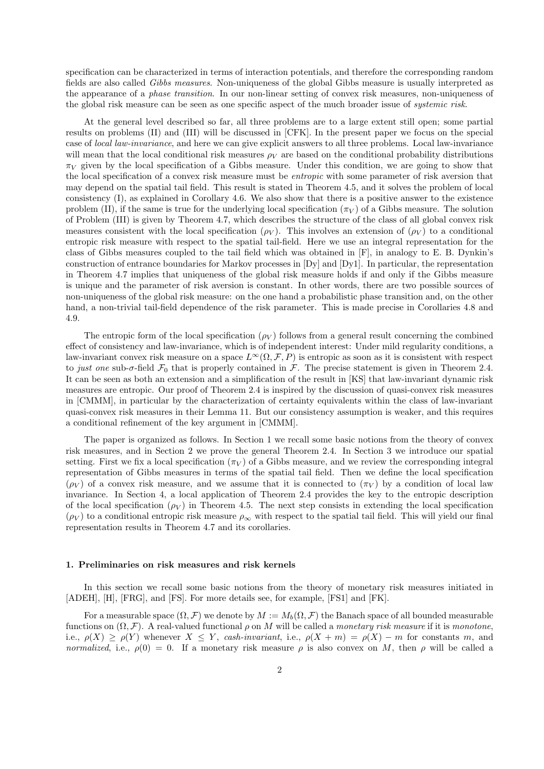specification can be characterized in terms of interaction potentials, and therefore the corresponding random fields are also called Gibbs measures. Non-uniqueness of the global Gibbs measure is usually interpreted as the appearance of a phase transition. In our non-linear setting of convex risk measures, non-uniqueness of the global risk measure can be seen as one specific aspect of the much broader issue of systemic risk.

At the general level described so far, all three problems are to a large extent still open; some partial results on problems (II) and (III) will be discussed in [CFK]. In the present paper we focus on the special case of local law-invariance, and here we can give explicit answers to all three problems. Local law-invariance will mean that the local conditional risk measures  $\rho_V$  are based on the conditional probability distributions  $\pi_V$  given by the local specification of a Gibbs measure. Under this condition, we are going to show that the local specification of a convex risk measure must be entropic with some parameter of risk aversion that may depend on the spatial tail field. This result is stated in Theorem 4.5, and it solves the problem of local consistency (I), as explained in Corollary 4.6. We also show that there is a positive answer to the existence problem (II), if the same is true for the underlying local specification  $(\pi_V)$  of a Gibbs measure. The solution of Problem (III) is given by Theorem 4.7, which describes the structure of the class of all global convex risk measures consistent with the local specification  $(\rho_V)$ . This involves an extension of  $(\rho_V)$  to a conditional entropic risk measure with respect to the spatial tail-field. Here we use an integral representation for the class of Gibbs measures coupled to the tail field which was obtained in [F], in analogy to E. B. Dynkin's construction of entrance boundaries for Markov processes in [Dy] and [Dy1]. In particular, the representation in Theorem 4.7 implies that uniqueness of the global risk measure holds if and only if the Gibbs measure is unique and the parameter of risk aversion is constant. In other words, there are two possible sources of non-uniqueness of the global risk measure: on the one hand a probabilistic phase transition and, on the other hand, a non-trivial tail-field dependence of the risk parameter. This is made precise in Corollaries 4.8 and 4.9.

The entropic form of the local specification  $(\rho_V)$  follows from a general result concerning the combined effect of consistency and law-invariance, which is of independent interest: Under mild regularity conditions, a law-invariant convex risk measure on a space  $L^{\infty}(\Omega, \mathcal{F}, P)$  is entropic as soon as it is consistent with respect to just one sub- $\sigma$ -field  $\mathcal{F}_0$  that is properly contained in  $\mathcal{F}$ . The precise statement is given in Theorem 2.4. It can be seen as both an extension and a simplification of the result in [KS] that law-invariant dynamic risk measures are entropic. Our proof of Theorem 2.4 is inspired by the discussion of quasi-convex risk measures in [CMMM], in particular by the characterization of certainty equivalents within the class of law-invariant quasi-convex risk measures in their Lemma 11. But our consistency assumption is weaker, and this requires a conditional refinement of the key argument in [CMMM].

The paper is organized as follows. In Section 1 we recall some basic notions from the theory of convex risk measures, and in Section 2 we prove the general Theorem 2.4. In Section 3 we introduce our spatial setting. First we fix a local specification  $(\pi_V)$  of a Gibbs measure, and we review the corresponding integral representation of Gibbs measures in terms of the spatial tail field. Then we define the local specification ( $\rho_V$ ) of a convex risk measure, and we assume that it is connected to  $(\pi_V)$  by a condition of local law invariance. In Section 4, a local application of Theorem 2.4 provides the key to the entropic description of the local specification ( $\rho_V$ ) in Theorem 4.5. The next step consists in extending the local specification  $(\rho_V)$  to a conditional entropic risk measure  $\rho_\infty$  with respect to the spatial tail field. This will yield our final representation results in Theorem 4.7 and its corollaries.

# 1. Preliminaries on risk measures and risk kernels

In this section we recall some basic notions from the theory of monetary risk measures initiated in [ADEH], [H], [FRG], and [FS]. For more details see, for example, [FS1] and [FK].

For a measurable space  $(\Omega, \mathcal{F})$  we denote by  $M := M_b(\Omega, \mathcal{F})$  the Banach space of all bounded measurable functions on  $(\Omega, \mathcal{F})$ . A real-valued functional  $\rho$  on M will be called a monetary risk measure if it is monotone, i.e.,  $\rho(X) \ge \rho(Y)$  whenever  $X \le Y$ , cash-invariant, i.e.,  $\rho(X + m) = \rho(X) - m$  for constants m, and normalized, i.e.,  $\rho(0) = 0$ . If a monetary risk measure  $\rho$  is also convex on M, then  $\rho$  will be called a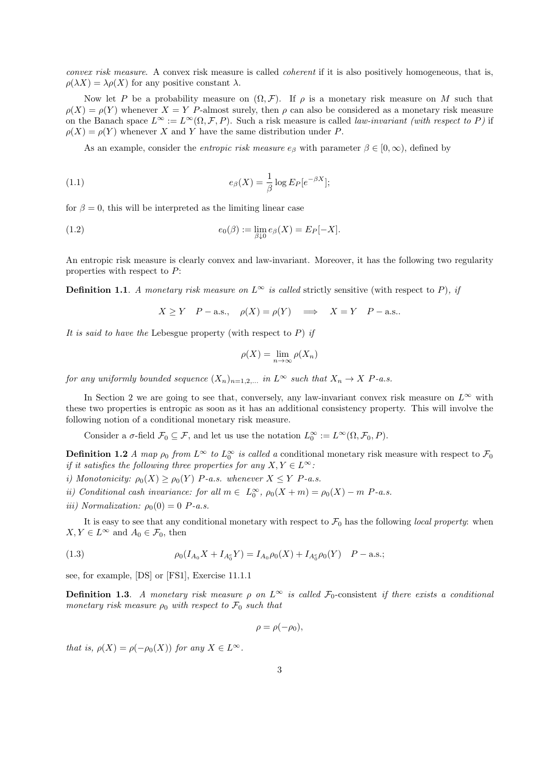convex risk measure. A convex risk measure is called coherent if it is also positively homogeneous, that is,  $\rho(\lambda X) = \lambda \rho(X)$  for any positive constant  $\lambda$ .

Now let P be a probability measure on  $(\Omega, \mathcal{F})$ . If  $\rho$  is a monetary risk measure on M such that  $\rho(X) = \rho(Y)$  whenever  $X = Y$  P-almost surely, then  $\rho$  can also be considered as a monetary risk measure on the Banach space  $L^{\infty} := L^{\infty}(\Omega, \mathcal{F}, P)$ . Such a risk measure is called *law-invariant (with respect to P)* if  $\rho(X) = \rho(Y)$  whenever X and Y have the same distribution under P.

As an example, consider the *entropic risk measure*  $e_\beta$  with parameter  $\beta \in [0, \infty)$ , defined by

(1.1) 
$$
e_{\beta}(X) = \frac{1}{\beta} \log E_P[e^{-\beta X}];
$$

for  $\beta = 0$ , this will be interpreted as the limiting linear case

(1.2) 
$$
e_0(\beta) := \lim_{\beta \downarrow 0} e_\beta(X) = E_P[-X].
$$

An entropic risk measure is clearly convex and law-invariant. Moreover, it has the following two regularity properties with respect to P:

**Definition 1.1.** A monetary risk measure on  $L^{\infty}$  is called strictly sensitive (with respect to P), if

$$
X \ge Y
$$
  $P - a.s.,$   $\rho(X) = \rho(Y)$   $\implies$   $X = Y$   $P - a.s..$ 

It is said to have the Lebesgue property (with respect to  $P$ ) if

$$
\rho(X) = \lim_{n \to \infty} \rho(X_n)
$$

for any uniformly bounded sequence  $(X_n)_{n=1,2,...}$  in  $L^{\infty}$  such that  $X_n \to X$  P-a.s.

In Section 2 we are going to see that, conversely, any law-invariant convex risk measure on  $L^{\infty}$  with these two properties is entropic as soon as it has an additional consistency property. This will involve the following notion of a conditional monetary risk measure.

Consider a  $\sigma$ -field  $\mathcal{F}_0 \subseteq \mathcal{F}$ , and let us use the notation  $L_0^{\infty} := L^{\infty}(\Omega, \mathcal{F}_0, P)$ .

**Definition 1.2** A map  $\rho_0$  from  $L^{\infty}$  to  $L_0^{\infty}$  is called a conditional monetary risk measure with respect to  $\mathcal{F}_0$ if it satisfies the following three properties for any  $X, Y \in L^{\infty}$ :

- i) Monotonicity:  $\rho_0(X) \geq \rho_0(Y)$  P-a.s. whenever  $X \leq Y$  P-a.s.
- ii) Conditional cash invariance: for all  $m \in L_0^{\infty}$ ,  $\rho_0(X+m) = \rho_0(X) m \cdot P$ -a.s.
- iii) Normalization:  $\rho_0(0) = 0$  P-a.s.

It is easy to see that any conditional monetary with respect to  $\mathcal{F}_0$  has the following local property: when  $X, Y \in L^{\infty}$  and  $A_0 \in \mathcal{F}_0$ , then

(1.3) 
$$
\rho_0(I_{A_0}X + I_{A_0^c}Y) = I_{A_0}\rho_0(X) + I_{A_0^c}\rho_0(Y) \quad P-\text{a.s.};
$$

see, for example, [DS] or [FS1], Exercise 11.1.1

**Definition 1.3.** A monetary risk measure  $\rho$  on  $L^{\infty}$  is called  $\mathcal{F}_0$ -consistent if there exists a conditional monetary risk measure  $\rho_0$  with respect to  $\mathcal{F}_0$  such that

$$
\rho = \rho(-\rho_0),
$$

that is,  $\rho(X) = \rho(-\rho_0(X))$  for any  $X \in L^{\infty}$ .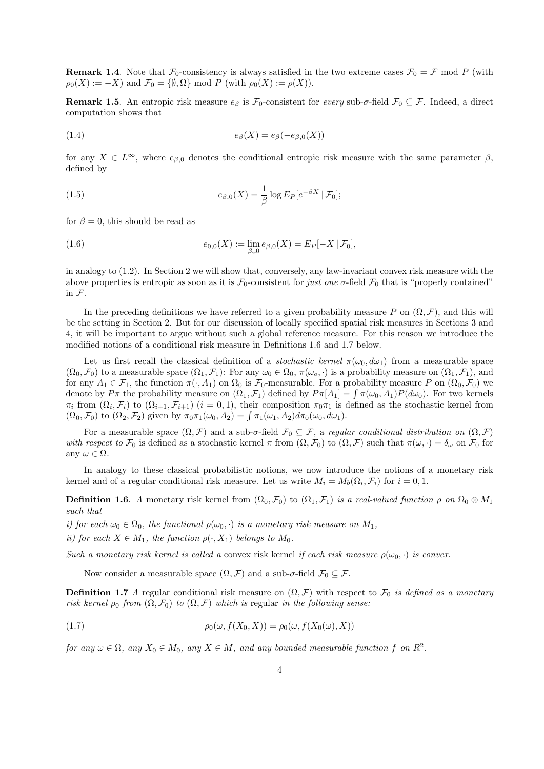**Remark 1.4**. Note that  $\mathcal{F}_0$ -consistency is always satisfied in the two extreme cases  $\mathcal{F}_0 = \mathcal{F}$  mod P (with  $\rho_0(X) := -X$ ) and  $\mathcal{F}_0 = \{\emptyset, \Omega\}$  mod P (with  $\rho_0(X) := \rho(X)$ ).

**Remark 1.5.** An entropic risk measure  $e_{\beta}$  is  $\mathcal{F}_0$ -consistent for every sub- $\sigma$ -field  $\mathcal{F}_0 \subseteq \mathcal{F}$ . Indeed, a direct computation shows that

$$
e_{\beta}(X) = e_{\beta}(-e_{\beta,0}(X))
$$

for any  $X \in L^{\infty}$ , where  $e_{\beta,0}$  denotes the conditional entropic risk measure with the same parameter  $\beta$ , defined by

(1.5) 
$$
e_{\beta,0}(X) = \frac{1}{\beta} \log E_P[e^{-\beta X} | \mathcal{F}_0];
$$

for  $\beta = 0$ , this should be read as

(1.6) 
$$
e_{0,0}(X) := \lim_{\beta \downarrow 0} e_{\beta,0}(X) = E_P[-X \,|\, \mathcal{F}_0],
$$

in analogy to (1.2). In Section 2 we will show that, conversely, any law-invariant convex risk measure with the above properties is entropic as soon as it is  $\mathcal{F}_0$ -consistent for just one  $\sigma$ -field  $\mathcal{F}_0$  that is "properly contained" in F.

In the preceding definitions we have referred to a given probability measure P on  $(\Omega, \mathcal{F})$ , and this will be the setting in Section 2. But for our discussion of locally specified spatial risk measures in Sections 3 and 4, it will be important to argue without such a global reference measure. For this reason we introduce the modified notions of a conditional risk measure in Definitions 1.6 and 1.7 below.

Let us first recall the classical definition of a *stochastic kernel*  $\pi(\omega_0, d\omega_1)$  from a measurable space  $(\Omega_0, \mathcal{F}_0)$  to a measurable space  $(\Omega_1, \mathcal{F}_1)$ : For any  $\omega_0 \in \Omega_0$ ,  $\pi(\omega_0, \cdot)$  is a probability measure on  $(\Omega_1, \mathcal{F}_1)$ , and for any  $A_1 \in \mathcal{F}_1$ , the function  $\pi(\cdot, A_1)$  on  $\Omega_0$  is  $\mathcal{F}_0$ -measurable. For a probability measure P on  $(\Omega_0, \mathcal{F}_0)$  we denote by  $P\pi$  the probability measure on  $(\Omega_1, \mathcal{F}_1)$  defined by  $P\pi[A_1] = \int \pi(\omega_0, A_1)P(d\omega_0)$ . For two kernels  $\pi_i$  from  $(\Omega_i, \mathcal{F}_i)$  to  $(\Omega_{i+1}, \mathcal{F}_{i+1})$   $(i = 0, 1)$ , their composition  $\pi_0 \pi_1$  is defined as the stochastic kernel from  $(\Omega_0, \mathcal{F}_0)$  to  $(\Omega_2, \mathcal{F}_2)$  given by  $\pi_0 \pi_1(\omega_0, A_2) = \int \pi_1(\omega_1, A_2) d\pi_0(\omega_0, d\omega_1)$ .

For a measurable space  $(\Omega, \mathcal{F})$  and a sub-σ-field  $\mathcal{F}_0 \subseteq \mathcal{F}$ , a regular conditional distribution on  $(\Omega, \mathcal{F})$ with respect to  $\mathcal{F}_0$  is defined as a stochastic kernel  $\pi$  from  $(\Omega, \mathcal{F}_0)$  to  $(\Omega, \mathcal{F})$  such that  $\pi(\omega, \cdot) = \delta_{\omega}$  on  $\mathcal{F}_0$  for any  $\omega \in \Omega$ .

In analogy to these classical probabilistic notions, we now introduce the notions of a monetary risk kernel and of a regular conditional risk measure. Let us write  $M_i = M_b(\Omega_i, \mathcal{F}_i)$  for  $i = 0, 1$ .

**Definition 1.6.** A monetary risk kernel from  $(\Omega_0, \mathcal{F}_0)$  to  $(\Omega_1, \mathcal{F}_1)$  is a real-valued function  $\rho$  on  $\Omega_0 \otimes M_1$ such that

i) for each  $\omega_0 \in \Omega_0$ , the functional  $\rho(\omega_0, \cdot)$  is a monetary risk measure on  $M_1$ ,

ii) for each  $X \in M_1$ , the function  $\rho(\cdot, X_1)$  belongs to  $M_0$ .

Such a monetary risk kernel is called a convex risk kernel if each risk measure  $\rho(\omega_0, \cdot)$  is convex.

Now consider a measurable space  $(\Omega, \mathcal{F})$  and a sub- $\sigma$ -field  $\mathcal{F}_0 \subseteq \mathcal{F}$ .

**Definition 1.7** A regular conditional risk measure on  $(\Omega, \mathcal{F})$  with respect to  $\mathcal{F}_0$  is defined as a monetary risk kernel  $\rho_0$  from  $(\Omega, \mathcal{F}_0)$  to  $(\Omega, \mathcal{F})$  which is regular in the following sense:

$$
\rho_0(\omega, f(X_0, X)) = \rho_0(\omega, f(X_0(\omega), X))
$$

for any  $\omega \in \Omega$ , any  $X_0 \in M_0$ , any  $X \in M$ , and any bounded measurable function f on  $R^2$ .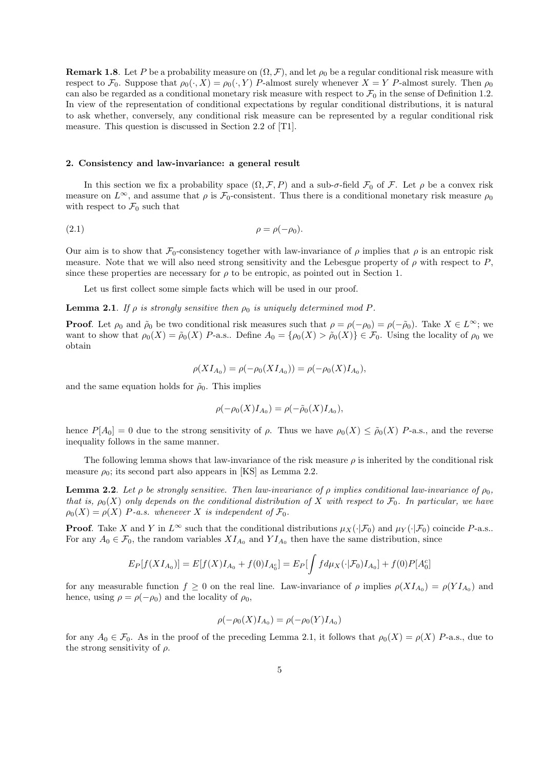**Remark 1.8.** Let P be a probability measure on  $(\Omega, \mathcal{F})$ , and let  $\rho_0$  be a regular conditional risk measure with respect to  $\mathcal{F}_0$ . Suppose that  $\rho_0(\cdot, X) = \rho_0(\cdot, Y)$  P-almost surely whenever  $X = Y$  P-almost surely. Then  $\rho_0$ can also be regarded as a conditional monetary risk measure with respect to  $\mathcal{F}_0$  in the sense of Definition 1.2. In view of the representation of conditional expectations by regular conditional distributions, it is natural to ask whether, conversely, any conditional risk measure can be represented by a regular conditional risk measure. This question is discussed in Section 2.2 of [T1].

## 2. Consistency and law-invariance: a general result

In this section we fix a probability space  $(\Omega, \mathcal{F}, P)$  and a sub-σ-field  $\mathcal{F}_0$  of  $\mathcal{F}$ . Let  $\rho$  be a convex risk measure on  $L^{\infty}$ , and assume that  $\rho$  is  $\mathcal{F}_0$ -consistent. Thus there is a conditional monetary risk measure  $\rho_0$ with respect to  $\mathcal{F}_0$  such that

$$
\rho = \rho(-\rho_0).
$$

Our aim is to show that  $\mathcal{F}_0$ -consistency together with law-invariance of  $\rho$  implies that  $\rho$  is an entropic risk measure. Note that we will also need strong sensitivity and the Lebesgue property of  $\rho$  with respect to P, since these properties are necessary for  $\rho$  to be entropic, as pointed out in Section 1.

Let us first collect some simple facts which will be used in our proof.

**Lemma 2.1**. If  $\rho$  is strongly sensitive then  $\rho_0$  is uniquely determined mod P.

**Proof.** Let  $\rho_0$  and  $\tilde{\rho}_0$  be two conditional risk measures such that  $\rho = \rho(-\rho_0) = \rho(-\tilde{\rho}_0)$ . Take  $X \in L^{\infty}$ ; we want to show that  $\rho_0(X)=\tilde{\rho}_0(X)$  P-a.s.. Define  $A_0 = {\rho_0(X) > \tilde{\rho}_0(X)} \in \mathcal{F}_0$ . Using the locality of  $\rho_0$  we obtain

$$
\rho(XI_{A_0}) = \rho(-\rho_0(XI_{A_0})) = \rho(-\rho_0(X)I_{A_0}),
$$

and the same equation holds for  $\tilde{\rho}_0$ . This implies

$$
\rho(-\rho_0(X)I_{A_0}) = \rho(-\tilde{\rho}_0(X)I_{A_0}),
$$

hence  $P[A_0] = 0$  due to the strong sensitivity of  $\rho$ . Thus we have  $\rho_0(X) \leq \tilde{\rho}_0(X)$  P-a.s., and the reverse inequality follows in the same manner.

The following lemma shows that law-invariance of the risk measure  $\rho$  is inherited by the conditional risk measure  $\rho_0$ ; its second part also appears in [KS] as Lemma 2.2.

**Lemma 2.2.** Let  $\rho$  be strongly sensitive. Then law-invariance of  $\rho$  implies conditional law-invariance of  $\rho_0$ , that is,  $\rho_0(X)$  only depends on the conditional distribution of X with respect to  $\mathcal{F}_0$ . In particular, we have  $\rho_0(X) = \rho(X)$  P-a.s. whenever X is independent of  $\mathcal{F}_0$ .

**Proof.** Take X and Y in  $L^{\infty}$  such that the conditional distributions  $\mu_X(\cdot|\mathcal{F}_0)$  and  $\mu_Y(\cdot|\mathcal{F}_0)$  coincide P-a.s.. For any  $A_0 \in \mathcal{F}_0$ , the random variables  $XI_{A_0}$  and  $YI_{A_0}$  then have the same distribution, since

$$
E_P[f(XI_{A_0})] = E[f(X)I_{A_0} + f(0)I_{A_0^c}] = E_P[\int f d\mu_X(\cdot|\mathcal{F}_0)I_{A_0}] + f(0)P[A_0^c]
$$

for any measurable function  $f \ge 0$  on the real line. Law-invariance of  $\rho$  implies  $\rho(XI_{A_0}) = \rho(YI_{A_0})$  and hence, using  $\rho = \rho(-\rho_0)$  and the locality of  $\rho_0$ ,

$$
\rho(-\rho_0(X)I_{A_0}) = \rho(-\rho_0(Y)I_{A_0})
$$

for any  $A_0 \in \mathcal{F}_0$ . As in the proof of the preceding Lemma 2.1, it follows that  $\rho_0(X) = \rho(X)$  P-a.s., due to the strong sensitivity of  $\rho$ .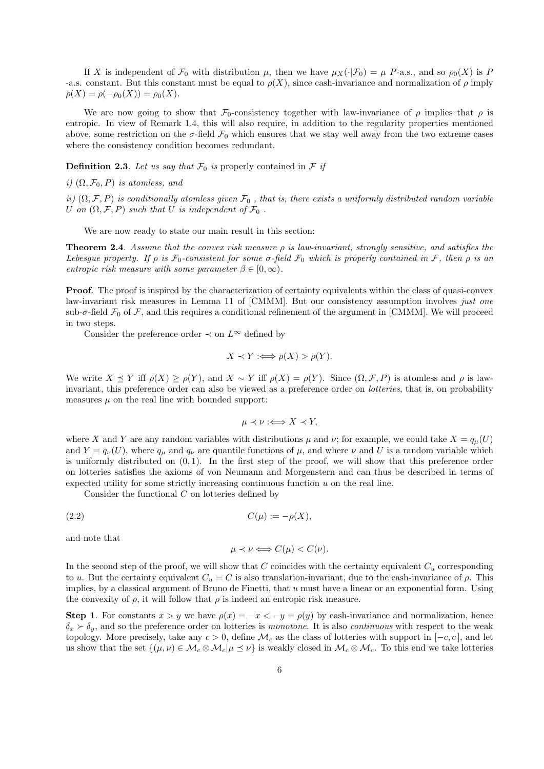If X is independent of  $\mathcal{F}_0$  with distribution  $\mu$ , then we have  $\mu_X(\cdot|\mathcal{F}_0) = \mu$  P-a.s., and so  $\rho_0(X)$  is P -a.s. constant. But this constant must be equal to  $\rho(X)$ , since cash-invariance and normalization of  $\rho$  imply  $\rho(X) = \rho(-\rho_0(X)) = \rho_0(X).$ 

We are now going to show that  $\mathcal{F}_0$ -consistency together with law-invariance of  $\rho$  implies that  $\rho$  is entropic. In view of Remark 1.4, this will also require, in addition to the regularity properties mentioned above, some restriction on the  $\sigma$ -field  $\mathcal{F}_0$  which ensures that we stay well away from the two extreme cases where the consistency condition becomes redundant.

**Definition 2.3**. Let us say that  $\mathcal{F}_0$  is properly contained in  $\mathcal{F}$  if

i)  $(\Omega, \mathcal{F}_0, P)$  is atomless, and

ii)  $(\Omega, \mathcal{F}, P)$  is conditionally atomless given  $\mathcal{F}_0$ , that is, there exists a uniformly distributed random variable U on  $(\Omega, \mathcal{F}, P)$  such that U is independent of  $\mathcal{F}_0$ .

We are now ready to state our main result in this section:

Theorem 2.4. Assume that the convex risk measure ρ is law-invariant, strongly sensitive, and satisfies the Lebesgue property. If  $\rho$  is  $\mathcal{F}_0$ -consistent for some  $\sigma$ -field  $\mathcal{F}_0$  which is properly contained in  $\mathcal{F}$ , then  $\rho$  is an entropic risk measure with some parameter  $\beta \in [0, \infty)$ .

Proof. The proof is inspired by the characterization of certainty equivalents within the class of quasi-convex law-invariant risk measures in Lemma 11 of [CMMM]. But our consistency assumption involves just one sub- $\sigma$ -field  $\mathcal{F}_0$  of  $\mathcal{F}$ , and this requires a conditional refinement of the argument in [CMMM]. We will proceed in two steps.

Consider the preference order  $\prec$  on  $L^{\infty}$  defined by

$$
X \prec Y : \Longleftrightarrow \rho(X) > \rho(Y).
$$

We write  $X \preceq Y$  iff  $\rho(X) \ge \rho(Y)$ , and  $X \sim Y$  iff  $\rho(X) = \rho(Y)$ . Since  $(\Omega, \mathcal{F}, P)$  is atomless and  $\rho$  is lawinvariant, this preference order can also be viewed as a preference order on lotteries, that is, on probability measures  $\mu$  on the real line with bounded support:

$$
\mu \prec \nu :\Longleftrightarrow X \prec Y,
$$

where X and Y are any random variables with distributions  $\mu$  and  $\nu$ ; for example, we could take  $X = q_{\mu}(U)$ and  $Y = q_{\nu}(U)$ , where  $q_{\mu}$  and  $q_{\nu}$  are quantile functions of  $\mu$ , and where  $\nu$  and U is a random variable which is uniformly distributed on  $(0, 1)$ . In the first step of the proof, we will show that this preference order on lotteries satisfies the axioms of von Neumann and Morgenstern and can thus be described in terms of expected utility for some strictly increasing continuous function  $u$  on the real line.

Consider the functional  $C$  on lotteries defined by

(2.2)  $C(\mu) := -\rho(X),$ 

and note that

$$
\mu \prec \nu \Longleftrightarrow C(\mu) < C(\nu).
$$

In the second step of the proof, we will show that  $C$  coincides with the certainty equivalent  $C_u$  corresponding to u. But the certainty equivalent  $C_u = C$  is also translation-invariant, due to the cash-invariance of  $\rho$ . This implies, by a classical argument of Bruno de Finetti, that  $u$  must have a linear or an exponential form. Using the convexity of  $\rho$ , it will follow that  $\rho$  is indeed an entropic risk measure.

Step 1. For constants  $x > y$  we have  $\rho(x) = -x < -y = \rho(y)$  by cash-invariance and normalization, hence  $\delta_x > \delta_y$ , and so the preference order on lotteries is monotone. It is also continuous with respect to the weak topology. More precisely, take any  $c > 0$ , define  $\mathcal{M}_c$  as the class of lotteries with support in  $[-c, c]$ , and let us show that the set  $\{(\mu, \nu) \in M_c \otimes M_c | \mu \leq \nu\}$  is weakly closed in  $M_c \otimes M_c$ . To this end we take lotteries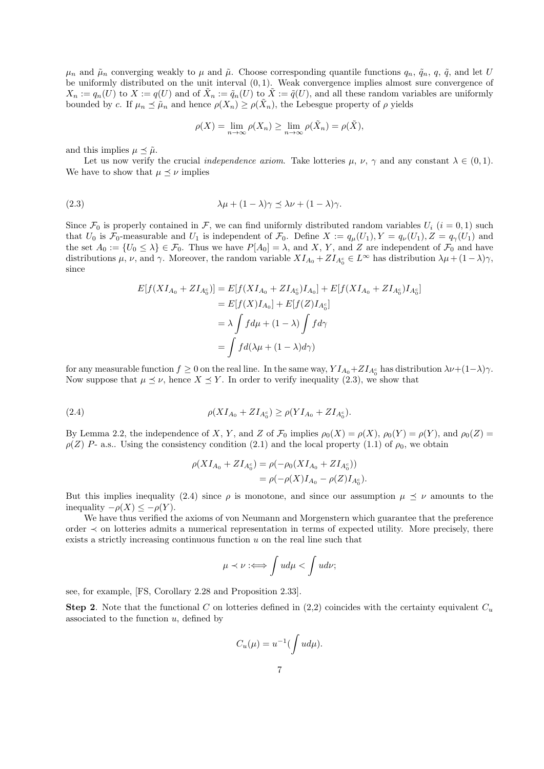$\mu_n$  and  $\tilde{\mu}_n$  converging weakly to  $\mu$  and  $\tilde{\mu}$ . Choose corresponding quantile functions  $q_n$ ,  $\tilde{q}_n$ ,  $q$ ,  $\tilde{q}$ , and let U be uniformly distributed on the unit interval (0, 1). Weak convergence implies almost sure convergence of  $X_n := q_n(U)$  to  $X := q(U)$  and of  $\tilde{X}_n := \tilde{q}_n(U)$  to  $\tilde{X} := \tilde{q}(U)$ , and all these random variables are uniformly bounded by c. If  $\mu_n \preceq \tilde{\mu}_n$  and hence  $\rho(X_n) \geq \rho(\tilde{X}_n)$ , the Lebesgue property of  $\rho$  yields

$$
\rho(X) = \lim_{n \to \infty} \rho(X_n) \ge \lim_{n \to \infty} \rho(\tilde{X}_n) = \rho(\tilde{X}),
$$

and this implies  $\mu \preceq \tilde{\mu}$ .

Let us now verify the crucial independence axiom. Take lotteries  $\mu$ ,  $\nu$ ,  $\gamma$  and any constant  $\lambda \in (0,1)$ . We have to show that  $\mu \prec \nu$  implies

(2.3) 
$$
\lambda \mu + (1 - \lambda)\gamma \leq \lambda \nu + (1 - \lambda)\gamma.
$$

Since  $\mathcal{F}_0$  is properly contained in  $\mathcal{F}$ , we can find uniformly distributed random variables  $U_i$   $(i = 0, 1)$  such that  $U_0$  is  $\mathcal{F}_0$ -measurable and  $U_1$  is independent of  $\mathcal{F}_0$ . Define  $X := q_\mu(U_1), Y = q_\nu(U_1), Z = q_\gamma(U_1)$  and the set  $A_0 := \{U_0 \leq \lambda\} \in \mathcal{F}_0$ . Thus we have  $P[A_0] = \lambda$ , and X, Y, and Z are independent of  $\mathcal{F}_0$  and have distributions  $\mu$ ,  $\nu$ , and  $\gamma$ . Moreover, the random variable  $XI_{A_0} + ZI_{A_0^c} \in L^{\infty}$  has distribution  $\lambda \mu + (1 - \lambda)\gamma$ , since

$$
E[f(XI_{A_0} + ZI_{A_0^c})] = E[f(XI_{A_0} + ZI_{A_0^c})I_{A_0}] + E[f(XI_{A_0} + ZI_{A_0^c})I_{A_0^c}]
$$
  
=  $E[f(X)I_{A_0}] + E[f(Z)I_{A_0^c}]$   
=  $\lambda \int f d\mu + (1 - \lambda) \int f d\gamma$   
=  $\int f d(\lambda \mu + (1 - \lambda) d\gamma)$ 

for any measurable function  $f \ge 0$  on the real line. In the same way,  $Y I_{A_0} + Z I_{A_0^c}$  has distribution  $\lambda \nu + (1-\lambda)\gamma$ . Now suppose that  $\mu \leq \nu$ , hence  $X \leq Y$ . In order to verify inequality (2.3), we show that

(2.4) 
$$
\rho(XI_{A_0} + ZI_{A_0^c}) \ge \rho(YI_{A_0} + ZI_{A_0^c}).
$$

By Lemma 2.2, the independence of X, Y, and Z of  $\mathcal{F}_0$  implies  $\rho_0(X) = \rho(X)$ ,  $\rho_0(Y) = \rho(Y)$ , and  $\rho_0(Z) =$  $\rho(Z)$  P- a.s.. Using the consistency condition (2.1) and the local property (1.1) of  $\rho_0$ , we obtain

$$
\rho(XI_{A_0} + ZI_{A_0^c}) = \rho(-\rho_0(XI_{A_0} + ZI_{A_0^c}))
$$
  
=  $\rho(-\rho(X)I_{A_0} - \rho(Z)I_{A_0^c}).$ 

But this implies inequality (2.4) since  $\rho$  is monotone, and since our assumption  $\mu \preceq \nu$  amounts to the inequality  $-\rho(X) \leq -\rho(Y)$ .

We have thus verified the axioms of von Neumann and Morgenstern which guarantee that the preference order  $\prec$  on lotteries admits a numerical representation in terms of expected utility. More precisely, there exists a strictly increasing continuous function u on the real line such that

$$
\mu \prec \nu :\Longleftrightarrow \int u d\mu < \int u d\nu;
$$

see, for example, [FS, Corollary 2.28 and Proposition 2.33].

**Step 2.** Note that the functional C on lotteries defined in  $(2,2)$  coincides with the certainty equivalent  $C_u$ associated to the function  $u$ , defined by

$$
C_u(\mu) = u^{-1}(\int u d\mu).
$$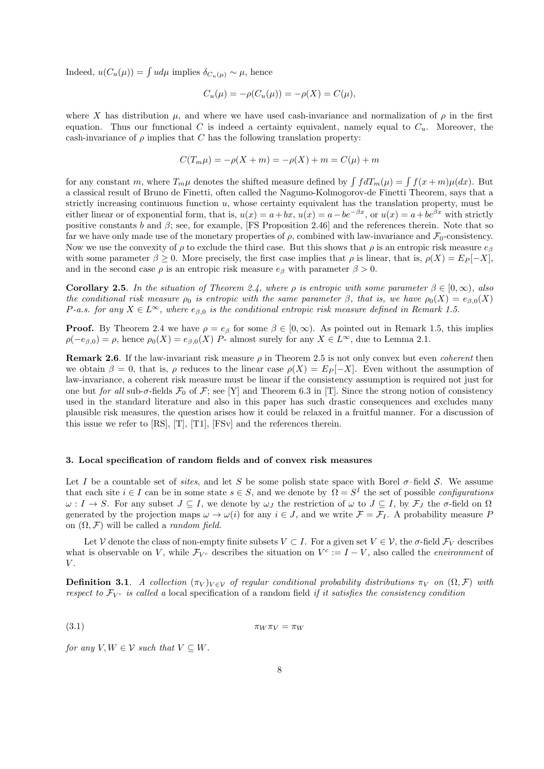Indeed,  $u(C_u(\mu)) = \int u d\mu$  implies  $\delta_{C_u(\mu)} \sim \mu$ , hence

$$
C_u(\mu) = -\rho(C_u(\mu)) = -\rho(X) = C(\mu),
$$

where X has distribution  $\mu$ , and where we have used cash-invariance and normalization of  $\rho$  in the first equation. Thus our functional C is indeed a certainty equivalent, namely equal to  $C_u$ . Moreover, the cash-invariance of  $\rho$  implies that C has the following translation property:

$$
C(T_m \mu) = -\rho(X + m) = -\rho(X) + m = C(\mu) + m
$$

for any constant m, where  $T_m\mu$  denotes the shifted measure defined by  $\int f dT_m(\mu) = \int f(x+m)\mu(dx)$ . But a classical result of Bruno de Finetti, often called the Nagumo-Kolmogorov-de Finetti Theorem, says that a strictly increasing continuous function  $u$ , whose certainty equivalent has the translation property, must be either linear or of exponential form, that is,  $u(x) = a+bx$ ,  $u(x) = a-be^{-\beta x}$ , or  $u(x) = a+be^{\beta x}$  with strictly positive constants b and  $\beta$ ; see, for example, [FS Proposition 2.46] and the references therein. Note that so far we have only made use of the monetary properties of  $\rho$ , combined with law-invariance and  $\mathcal{F}_0$ -consistency. Now we use the convexity of  $\rho$  to exclude the third case. But this shows that  $\rho$  is an entropic risk measure  $e_{\beta}$ with some parameter  $\beta > 0$ . More precisely, the first case implies that  $\rho$  is linear, that is,  $\rho(X) = E_P[-X]$ , and in the second case  $\rho$  is an entropic risk measure  $e_{\beta}$  with parameter  $\beta > 0$ .

**Corollary 2.5.** In the situation of Theorem 2.4, where  $\rho$  is entropic with some parameter  $\beta \in [0, \infty)$ , also the conditional risk measure  $\rho_0$  is entropic with the same parameter  $\beta$ , that is, we have  $\rho_0(X) = e_{\beta,0}(X)$ P-a.s. for any  $X \in L^{\infty}$ , where  $e_{\beta,0}$  is the conditional entropic risk measure defined in Remark 1.5.

**Proof.** By Theorem 2.4 we have  $\rho = e_\beta$  for some  $\beta \in [0, \infty)$ . As pointed out in Remark 1.5, this implies  $\rho(-e_{\beta,0}) = \rho$ , hence  $\rho_0(X) = e_{\beta,0}(X)$  P- almost surely for any  $X \in L^{\infty}$ , due to Lemma 2.1.

**Remark 2.6.** If the law-invariant risk measure  $\rho$  in Theorem 2.5 is not only convex but even *coherent* then we obtain  $\beta = 0$ , that is,  $\rho$  reduces to the linear case  $\rho(X) = E_P[-X]$ . Even without the assumption of law-invariance, a coherent risk measure must be linear if the consistency assumption is required not just for one but for all sub- $\sigma$ -fields  $\mathcal{F}_0$  of  $\mathcal{F}_1$ ; see [Y] and Theorem 6.3 in [T]. Since the strong notion of consistency used in the standard literature and also in this paper has such drastic consequences and excludes many plausible risk measures, the question arises how it could be relaxed in a fruitful manner. For a discussion of this issue we refer to [RS], [T], [T1], [FSv] and the references therein.

#### 3. Local specification of random fields and of convex risk measures

Let I be a countable set of *sites*, and let S be some polish state space with Borel  $\sigma$ -field S. We assume that each site  $i \in I$  can be in some state  $s \in S$ , and we denote by  $\Omega = S<sup>I</sup>$  the set of possible *configurations*  $\omega: I \to S$ . For any subset  $J \subseteq I$ , we denote by  $\omega_J$  the restriction of  $\omega$  to  $J \subseteq I$ , by  $\mathcal{F}_J$  the  $\sigma$ -field on  $\Omega$ generated by the projection maps  $\omega \to \omega(i)$  for any  $i \in J$ , and we write  $\mathcal{F} = \mathcal{F}_I$ . A probability measure P on  $(\Omega, \mathcal{F})$  will be called a *random field*.

Let V denote the class of non-empty finite subsets  $V \subset I$ . For a given set  $V \in V$ , the  $\sigma$ -field  $\mathcal{F}_V$  describes what is observable on V, while  $\mathcal{F}_{V^c}$  describes the situation on  $V^c := I - V$ , also called the *environment* of  $V$ .

**Definition 3.1.** A collection  $(\pi_V)_{V \in \mathcal{V}}$  of regular conditional probability distributions  $\pi_V$  on  $(\Omega, \mathcal{F})$  with respect to  $\mathcal{F}_{V^c}$  is called a local specification of a random field if it satisfies the consistency condition

$$
\pi_W \pi_V = \pi_W
$$

for any  $V, W \in \mathcal{V}$  such that  $V \subseteq W$ .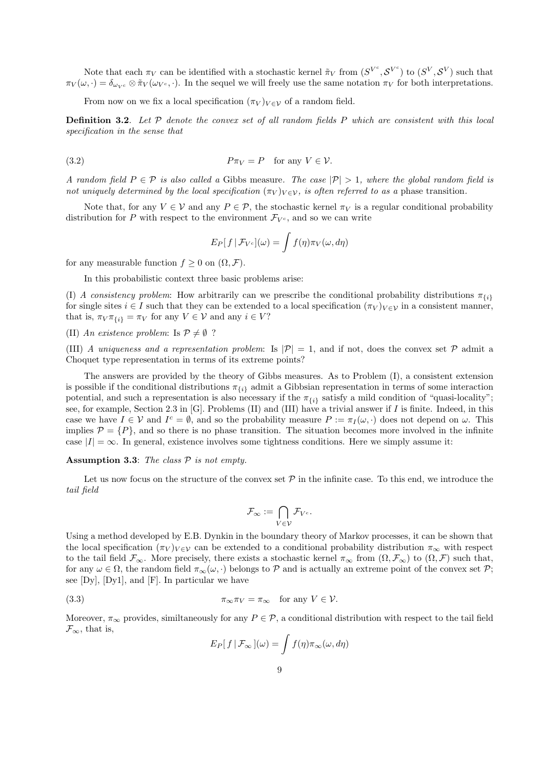Note that each  $\pi_V$  can be identified with a stochastic kernel  $\tilde{\pi}_V$  from  $(S^{V^c}, S^{V^c})$  to  $(S^V, S^V)$  such that  $\pi_V(\omega, \cdot) = \delta_{\omega_V c} \otimes \tilde{\pi}_V(\omega_{V^c}, \cdot)$ . In the sequel we will freely use the same notation  $\pi_V$  for both interpretations.

From now on we fix a local specification  $(\pi_V)_{V \in \mathcal{V}}$  of a random field.

**Definition 3.2.** Let  $P$  denote the convex set of all random fields  $P$  which are consistent with this local specification in the sense that

(3.2) 
$$
P\pi_V = P \quad \text{for any } V \in \mathcal{V}.
$$

A random field  $P \in \mathcal{P}$  is also called a Gibbs measure. The case  $|\mathcal{P}| > 1$ , where the global random field is not uniquely determined by the local specification  $(\pi_V)_{V \in \mathcal{V}}$ , is often referred to as a phase transition.

Note that, for any  $V \in \mathcal{V}$  and any  $P \in \mathcal{P}$ , the stochastic kernel  $\pi_V$  is a regular conditional probability distribution for P with respect to the environment  $\mathcal{F}_{V^c}$ , and so we can write

$$
E_P[f | \mathcal{F}_{V^c}](\omega) = \int f(\eta) \pi_V(\omega, d\eta)
$$

for any measurable function  $f \geq 0$  on  $(\Omega, \mathcal{F})$ .

In this probabilistic context three basic problems arise:

(I) A consistency problem: How arbitrarily can we prescribe the conditional probability distributions  $\pi_{\{i\}}$ for single sites  $i \in I$  such that they can be extended to a local specification  $(\pi_V)_{V \in \mathcal{V}}$  in a consistent manner, that is,  $\pi_V \pi_{\{i\}} = \pi_V$  for any  $V \in \mathcal{V}$  and any  $i \in V$ ?

(II) An existence problem: Is  $\mathcal{P} \neq \emptyset$  ?

(III) A uniqueness and a representation problem: Is  $|\mathcal{P}| = 1$ , and if not, does the convex set P admit a Choquet type representation in terms of its extreme points?

The answers are provided by the theory of Gibbs measures. As to Problem (I), a consistent extension is possible if the conditional distributions  $\pi_{\{i\}}$  admit a Gibbsian representation in terms of some interaction potential, and such a representation is also necessary if the  $\pi_{\{i\}}$  satisfy a mild condition of "quasi-locality"; see, for example, Section 2.3 in [G]. Problems (II) and (III) have a trivial answer if I is finite. Indeed, in this case we have  $I \in \mathcal{V}$  and  $I^c = \emptyset$ , and so the probability measure  $P := \pi_I(\omega, \cdot)$  does not depend on  $\omega$ . This implies  $\mathcal{P} = \{P\}$ , and so there is no phase transition. The situation becomes more involved in the infinite case  $|I| = \infty$ . In general, existence involves some tightness conditions. Here we simply assume it:

**Assumption 3.3:** The class  $P$  is not empty.

Let us now focus on the structure of the convex set  $\mathcal P$  in the infinite case. To this end, we introduce the tail field

$$
\mathcal{F}_{\infty}:=\bigcap_{V\in\mathcal{V}}\mathcal{F}_{V^c}.
$$

Using a method developed by E.B. Dynkin in the boundary theory of Markov processes, it can be shown that the local specification  $(\pi_V)_{V \in \mathcal{V}}$  can be extended to a conditional probability distribution  $\pi_\infty$  with respect to the tail field  $\mathcal{F}_{\infty}$ . More precisely, there exists a stochastic kernel  $\pi_{\infty}$  from  $(\Omega, \mathcal{F}_{\infty})$  to  $(\Omega, \mathcal{F})$  such that, for any  $\omega \in \Omega$ , the random field  $\pi_{\infty}(\omega, \cdot)$  belongs to P and is actually an extreme point of the convex set P; see  $[Dy]$ ,  $[Dy1]$ , and  $[F]$ . In particular we have

(3.3) 
$$
\pi_{\infty}\pi_{V} = \pi_{\infty} \quad \text{for any } V \in V.
$$

Moreover,  $\pi_{\infty}$  provides, similtaneously for any  $P \in \mathcal{P}$ , a conditional distribution with respect to the tail field  $\mathcal{F}_{\infty}$ , that is,

$$
E_P[f | \mathcal{F}_{\infty}](\omega) = \int f(\eta) \pi_{\infty}(\omega, d\eta)
$$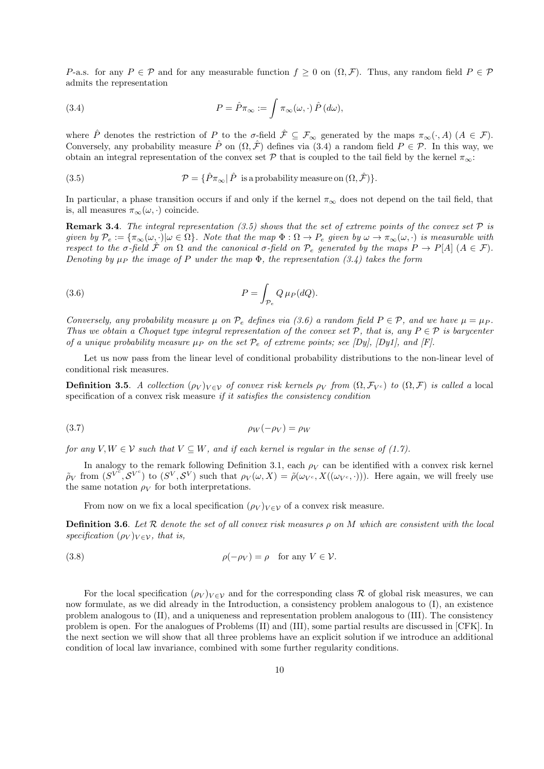P-a.s. for any  $P \in \mathcal{P}$  and for any measurable function  $f \geq 0$  on  $(\Omega, \mathcal{F})$ . Thus, any random field  $P \in \mathcal{P}$ admits the representation

(3.4) 
$$
P = \hat{P}\pi_{\infty} := \int \pi_{\infty}(\omega, \cdot) \hat{P}(d\omega),
$$

where  $\hat{P}$  denotes the restriction of P to the  $\sigma$ -field  $\hat{\mathcal{F}} \subseteq \mathcal{F}_{\infty}$  generated by the maps  $\pi_{\infty}(\cdot, A)$   $(A \in \mathcal{F})$ . Conversely, any probability measure  $\hat{P}$  on  $(\Omega, \hat{\mathcal{F}})$  defines via (3.4) a random field  $P \in \mathcal{P}$ . In this way, we obtain an integral representation of the convex set P that is coupled to the tail field by the kernel  $\pi_{\infty}$ :

(3.5) 
$$
\mathcal{P} = \{ \hat{P} \pi_{\infty} | \hat{P} \text{ is a probability measure on } (\Omega, \hat{\mathcal{F}}) \}.
$$

In particular, a phase transition occurs if and only if the kernel  $\pi_{\infty}$  does not depend on the tail field, that is, all measures  $\pi_{\infty}(\omega, \cdot)$  coincide.

**Remark 3.4.** The integral representation (3.5) shows that the set of extreme points of the convex set  $P$  is given by  $P_e := {\pi_\infty(\omega, \cdot) | \omega \in \Omega}$ . Note that the map  $\Phi : \Omega \to P_e$  given by  $\omega \to \pi_\infty(\omega, \cdot)$  is measurable with respect to the  $\sigma$ -field  $\tilde{\mathcal{F}}$  on  $\Omega$  and the canonical  $\sigma$ -field on  $\mathcal{P}_e$  generated by the maps  $P \to P[A]$   $(A \in \mathcal{F})$ . Denoting by  $\mu_P$  the image of P under the map  $\Phi$ , the representation (3.4) takes the form

(3.6) 
$$
P = \int_{\mathcal{P}_e} Q \,\mu_P(dQ).
$$

Conversely, any probability measure  $\mu$  on  $\mathcal{P}_e$  defines via (3.6) a random field  $P \in \mathcal{P}$ , and we have  $\mu = \mu_P$ . Thus we obtain a Choquet type integral representation of the convex set P, that is, any  $P \in \mathcal{P}$  is barycenter of a unique probability measure  $\mu_P$  on the set  $\mathcal{P}_e$  of extreme points; see [Dy], [Dy1], and [F].

Let us now pass from the linear level of conditional probability distributions to the non-linear level of conditional risk measures.

**Definition 3.5.** A collection  $(\rho_V)_{V \in \mathcal{V}}$  of convex risk kernels  $\rho_V$  from  $(\Omega, \mathcal{F}_{V^c})$  to  $(\Omega, \mathcal{F})$  is called a local specification of a convex risk measure if it satisfies the consistency condition

$$
\rho_W(-\rho_V) = \rho_W
$$

for any  $V, W \in V$  such that  $V \subset W$ , and if each kernel is regular in the sense of (1.7).

In analogy to the remark following Definition 3.1, each  $\rho_V$  can be identified with a convex risk kernel  $\tilde{\rho}_V$  from  $(S^{V^c}, S^{V^c})$  to  $(S^V, S^V)$  such that  $\rho_V(\omega, X) = \tilde{\rho}(\omega_{V^c}, X((\omega_{V^c}, \cdot)))$ . Here again, we will freely use the same notation  $\rho_V$  for both interpretations.

From now on we fix a local specification  $(\rho_V)_{V \in \mathcal{V}}$  of a convex risk measure.

**Definition 3.6.** Let R denote the set of all convex risk measures  $\rho$  on M which are consistent with the local specification  $(\rho_V)_{V \in \mathcal{V}}$ , that is,

(3.8) 
$$
\rho(-\rho_V) = \rho \quad \text{for any } V \in \mathcal{V}.
$$

For the local specification  $(\rho_V)_{V \in V}$  and for the corresponding class R of global risk measures, we can now formulate, as we did already in the Introduction, a consistency problem analogous to (I), an existence problem analogous to (II), and a uniqueness and representation problem analogous to (III). The consistency problem is open. For the analogues of Problems (II) and (III), some partial results are discussed in [CFK]. In the next section we will show that all three problems have an explicit solution if we introduce an additional condition of local law invariance, combined with some further regularity conditions.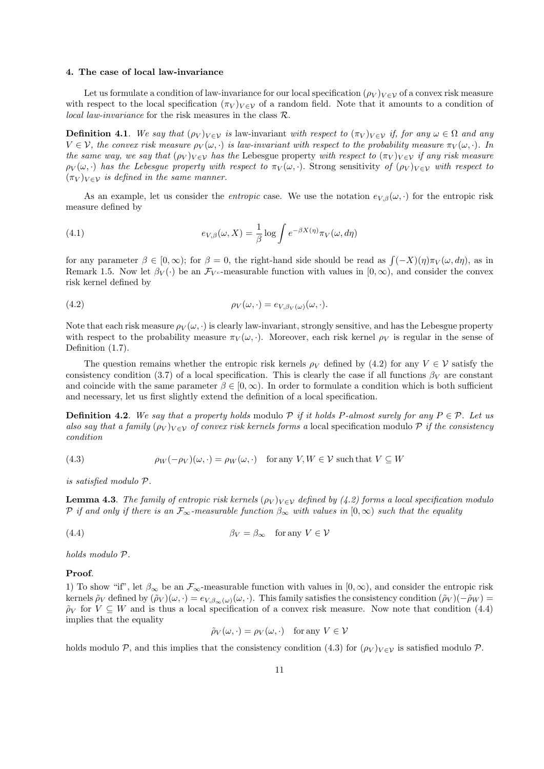## 4. The case of local law-invariance

Let us formulate a condition of law-invariance for our local specification  $(\rho_V)_{V \in V}$  of a convex risk measure with respect to the local specification  $(\pi_V)_{V \in \mathcal{V}}$  of a random field. Note that it amounts to a condition of local law-invariance for the risk measures in the class R.

**Definition 4.1.** We say that  $(\rho_V)_{V \in \mathcal{V}}$  is law-invariant with respect to  $(\pi_V)_{V \in \mathcal{V}}$  if, for any  $\omega \in \Omega$  and any  $V \in \mathcal{V}$ , the convex risk measure  $\rho_V(\omega, \cdot)$  is law-invariant with respect to the probability measure  $\pi_V(\omega, \cdot)$ . In the same way, we say that  $(\rho_V)_{V \in \mathcal{V}}$  has the Lebesgue property with respect to  $(\pi_V)_{V \in \mathcal{V}}$  if any risk measure  $\rho_V(\omega, \cdot)$  has the Lebesgue property with respect to  $\pi_V(\omega, \cdot)$ . Strong sensitivity of  $(\rho_V)_{V \in V}$  with respect to  $(\pi_V)_{V \in \mathcal{V}}$  is defined in the same manner.

As an example, let us consider the *entropic* case. We use the notation  $e_{V,\beta}(\omega, \cdot)$  for the entropic risk measure defined by

(4.1) 
$$
e_{V,\beta}(\omega,X) = \frac{1}{\beta} \log \int e^{-\beta X(\eta)} \pi_V(\omega, d\eta)
$$

for any parameter  $\beta \in [0,\infty)$ ; for  $\beta = 0$ , the right-hand side should be read as  $\int (-X)(\eta)\pi_V(\omega, d\eta)$ , as in Remark 1.5. Now let  $\beta_V(\cdot)$  be an  $\mathcal{F}_{V}$ *c*-measurable function with values in  $[0,\infty)$ , and consider the convex risk kernel defined by

(4.2) 
$$
\rho_V(\omega, \cdot) = e_{V, \beta_V(\omega)}(\omega, \cdot).
$$

Note that each risk measure  $\rho_V(\omega, \cdot)$  is clearly law-invariant, strongly sensitive, and has the Lebesgue property with respect to the probability measure  $\pi_V(\omega, \cdot)$ . Moreover, each risk kernel  $\rho_V$  is regular in the sense of Definition  $(1.7)$ .

The question remains whether the entropic risk kernels  $\rho_V$  defined by (4.2) for any  $V \in \mathcal{V}$  satisfy the consistency condition (3.7) of a local specification. This is clearly the case if all functions  $\beta_V$  are constant and coincide with the same parameter  $\beta \in [0,\infty)$ . In order to formulate a condition which is both sufficient and necessary, let us first slightly extend the definition of a local specification.

**Definition 4.2.** We say that a property holds modulo P if it holds P-almost surely for any  $P \in \mathcal{P}$ . Let us also say that a family  $(\rho_V)_{V \in \mathcal{V}}$  of convex risk kernels forms a local specification modulo P if the consistency condition

(4.3) 
$$
\rho_W(-\rho_V)(\omega, \cdot) = \rho_W(\omega, \cdot) \quad \text{for any } V, W \in \mathcal{V} \text{ such that } V \subseteq W
$$

is satisfied modulo P.

**Lemma 4.3.** The family of entropic risk kernels  $(\rho_V)_{V \in \mathcal{V}}$  defined by (4.2) forms a local specification modulo P if and only if there is an  $\mathcal{F}_{\infty}$ -measurable function  $\beta_{\infty}$  with values in  $[0,\infty)$  such that the equality

(4.4) 
$$
\beta_V = \beta_{\infty} \quad \text{for any } V \in \mathcal{V}
$$

holds modulo P.

## Proof.

1) To show "if", let  $\beta_{\infty}$  be an  $\mathcal{F}_{\infty}$ -measurable function with values in  $[0, \infty)$ , and consider the entropic risk kernels  $\tilde{\rho}_V$  defined by  $(\tilde{\rho}_V)(\omega, \cdot) = e_{V, \beta_{\infty}(\omega)}(\omega, \cdot)$ . This family satisfies the consistency condition  $(\tilde{\rho}_V)(-\tilde{\rho}_W)$  $\tilde{\rho}_V$  for  $V \subseteq W$  and is thus a local specification of a convex risk measure. Now note that condition (4.4) implies that the equality

$$
\tilde{\rho}_V(\omega, \cdot) = \rho_V(\omega, \cdot) \quad \text{for any } V \in \mathcal{V}
$$

holds modulo P, and this implies that the consistency condition (4.3) for  $(\rho_V)_{V \in \mathcal{V}}$  is satisfied modulo P.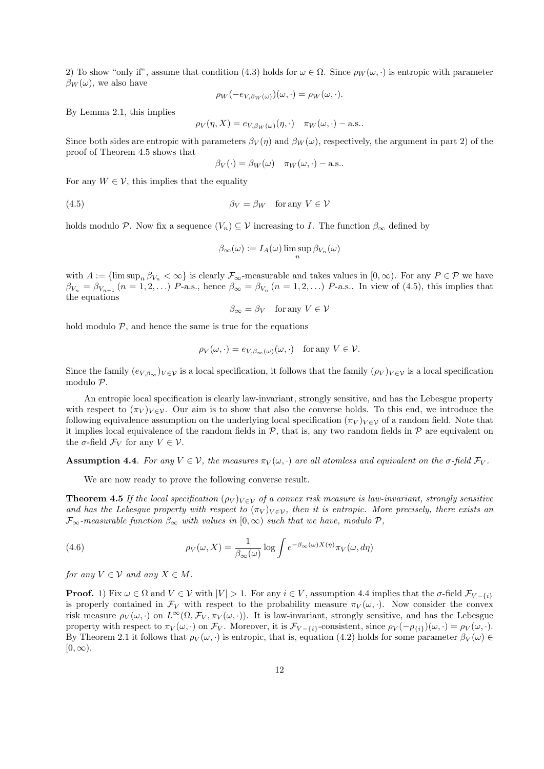2) To show "only if", assume that condition (4.3) holds for  $\omega \in \Omega$ . Since  $\rho_W(\omega, \cdot)$  is entropic with parameter  $\beta_W(\omega)$ , we also have

$$
\rho_W(-e_{V,\beta_W(\omega)})(\omega,\cdot) = \rho_W(\omega,\cdot).
$$

By Lemma 2.1, this implies

$$
\rho_V(\eta, X) = e_{V, \beta_W(\omega)}(\eta, \cdot) \quad \pi_W(\omega, \cdot) - \text{a.s.}
$$

Since both sides are entropic with parameters  $\beta_V(\eta)$  and  $\beta_W(\omega)$ , respectively, the argument in part 2) of the proof of Theorem 4.5 shows that

$$
\beta_V(\cdot) = \beta_W(\omega) \quad \pi_W(\omega, \cdot) - \text{a.s.}.
$$

For any  $W \in \mathcal{V}$ , this implies that the equality

(4.5) 
$$
\beta_V = \beta_W \quad \text{for any } V \in \mathcal{V}
$$

holds modulo P. Now fix a sequence  $(V_n) \subseteq V$  increasing to I. The function  $\beta_{\infty}$  defined by

$$
\beta_{\infty}(\omega) := I_A(\omega) \limsup_n \beta_{V_n}(\omega)
$$

with  $A := \{\limsup_n \beta_{V_n} < \infty\}$  is clearly  $\mathcal{F}_{\infty}$ -measurable and takes values in  $[0, \infty)$ . For any  $P \in \mathcal{P}$  we have  $\beta_{V_n} = \beta_{V_{n+1}} (n = 1, 2, \ldots)$  P-a.s., hence  $\beta_{\infty} = \beta_{V_n} (n = 1, 2, \ldots)$  P-a.s.. In view of (4.5), this implies that the equations

$$
\beta_{\infty} = \beta_V \quad \text{for any } V \in \mathcal{V}
$$

hold modulo  $P$ , and hence the same is true for the equations

$$
\rho_V(\omega,\cdot)=e_{V,\beta_\infty(\omega)}(\omega,\cdot)\quad\text{for any }V\in\mathcal{V}.
$$

Since the family  $(e_{V,\beta_{\infty}})_{V\in\mathcal{V}}$  is a local specification, it follows that the family  $(\rho_V)_{V\in\mathcal{V}}$  is a local specification modulo P.

An entropic local specification is clearly law-invariant, strongly sensitive, and has the Lebesgue property with respect to  $(\pi_V)_{V \in \mathcal{V}}$ . Our aim is to show that also the converse holds. To this end, we introduce the following equivalence assumption on the underlying local specification  $(\pi_V)_{V \in \mathcal{V}}$  of a random field. Note that it implies local equivalence of the random fields in  $P$ , that is, any two random fields in  $P$  are equivalent on the  $\sigma$ -field  $\mathcal{F}_V$  for any  $V \in \mathcal{V}$ .

**Assumption 4.4.** For any  $V \in \mathcal{V}$ , the measures  $\pi_V(\omega, \cdot)$  are all atomless and equivalent on the  $\sigma$ -field  $\mathcal{F}_V$ .

We are now ready to prove the following converse result.

**Theorem 4.5** If the local specification  $(\rho_V)_{V \in V}$  of a convex risk measure is law-invariant, strongly sensitive and has the Lebesgue property with respect to  $(\pi_V)_{V \in \mathcal{V}}$ , then it is entropic. More precisely, there exists an  $\mathcal{F}_{\infty}$ -measurable function  $\beta_{\infty}$  with values in  $[0,\infty)$  such that we have, modulo  $\mathcal{P}$ ,

(4.6) 
$$
\rho_V(\omega, X) = \frac{1}{\beta_{\infty}(\omega)} \log \int e^{-\beta_{\infty}(\omega)X(\eta)} \pi_V(\omega, d\eta)
$$

for any  $V \in \mathcal{V}$  and any  $X \in M$ .

**Proof.** 1) Fix  $\omega \in \Omega$  and  $V \in \mathcal{V}$  with  $|V| > 1$ . For any  $i \in V$ , assumption 4.4 implies that the  $\sigma$ -field  $\mathcal{F}_{V-\{i\}}$ is properly contained in  $\mathcal{F}_V$  with respect to the probability measure  $\pi_V(\omega, \cdot)$ . Now consider the convex risk measure  $\rho_V(\omega, \cdot)$  on  $L^\infty(\Omega, \mathcal{F}_V, \pi_V(\omega, \cdot))$ . It is law-invariant, strongly sensitive, and has the Lebesgue property with respect to  $\pi_V(\omega, \cdot)$  on  $\mathcal{F}_V$ . Moreover, it is  $\mathcal{F}_{V - \{i\}}$ -consistent, since  $\rho_V(-\rho_{\{i\}})(\omega, \cdot) = \rho_V(\omega, \cdot)$ . By Theorem 2.1 it follows that  $\rho_V(\omega, \cdot)$  is entropic, that is, equation (4.2) holds for some parameter  $\beta_V(\omega) \in$  $[0, \infty)$ .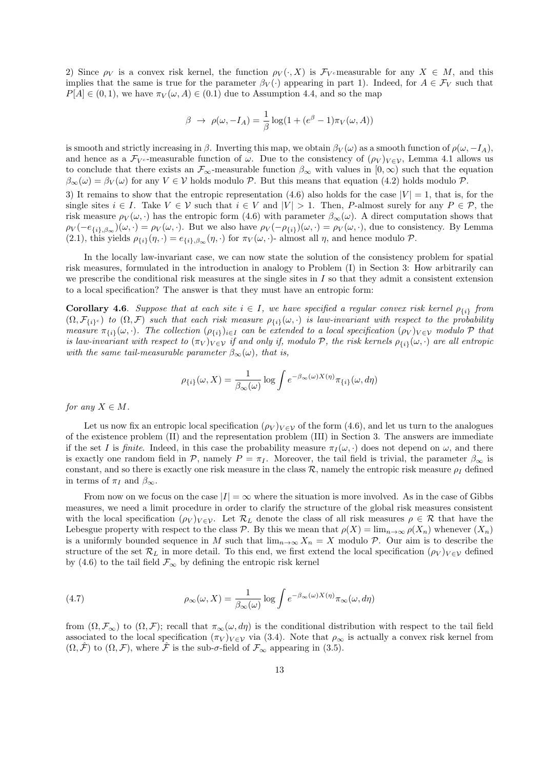2) Since  $\rho_V$  is a convex risk kernel, the function  $\rho_V(\cdot, X)$  is  $\mathcal{F}_V$  *c*measurable for any  $X \in M$ , and this implies that the same is true for the parameter  $\beta_V(\cdot)$  appearing in part 1). Indeed, for  $A \in \mathcal{F}_V$  such that  $P[A] \in (0, 1)$ , we have  $\pi_V(\omega, A) \in (0.1)$  due to Assumption 4.4, and so the map

$$
\beta \rightarrow \rho(\omega, -I_A) = \frac{1}{\beta} \log(1 + (e^{\beta} - 1)\pi_V(\omega, A))
$$

is smooth and strictly increasing in  $\beta$ . Inverting this map, we obtain  $\beta_V(\omega)$  as a smooth function of  $\rho(\omega, -I_A)$ , and hence as a  $\mathcal{F}_{V^c}$ -measurable function of  $\omega$ . Due to the consistency of  $(\rho_V)_{V \in \mathcal{V}}$ , Lemma 4.1 allows us to conclude that there exists an  $\mathcal{F}_{\infty}$ -measurable function  $\beta_{\infty}$  with values in  $[0,\infty)$  such that the equation  $\beta_{\infty}(\omega) = \beta_V(\omega)$  for any  $V \in \mathcal{V}$  holds modulo P. But this means that equation (4.2) holds modulo P.

3) It remains to show that the entropic representation (4.6) also holds for the case  $|V| = 1$ , that is, for the single sites  $i \in I$ . Take  $V \in V$  such that  $i \in V$  and  $|V| > 1$ . Then, P-almost surely for any  $P \in \mathcal{P}$ , the risk measure  $\rho_V(\omega, \cdot)$  has the entropic form (4.6) with parameter  $\beta_\infty(\omega)$ . A direct computation shows that  $\rho_V(-e_{\{i\},\beta_\infty})(\omega,\cdot) = \rho_V(\omega,\cdot)$ . But we also have  $\rho_V(-\rho_{\{i\}})(\omega,\cdot) = \rho_V(\omega,\cdot)$ , due to consistency. By Lemma (2.1), this yields  $\rho_{\{i\}}(\eta, \cdot) = e_{\{i\},\beta_{\infty}}(\eta, \cdot)$  for  $\pi_V(\omega, \cdot)$ - almost all  $\eta$ , and hence modulo  $\mathcal{P}$ .

In the locally law-invariant case, we can now state the solution of the consistency problem for spatial risk measures, formulated in the introduction in analogy to Problem (I) in Section 3: How arbitrarily can we prescribe the conditional risk measures at the single sites in  $I$  so that they admit a consistent extension to a local specification? The answer is that they must have an entropic form:

**Corollary 4.6.** Suppose that at each site  $i \in I$ , we have specified a regular convex risk kernel  $\rho_{\{i\}}$  from  $(\Omega, \mathcal{F}_{\{i\}^c})$  to  $(\Omega, \mathcal{F})$  such that each risk measure  $\rho_{\{i\}}(\omega, \cdot)$  is law-invariant with respect to the probability measure  $\pi_{\{i\}}(\omega, \cdot)$ . The collection  $(\rho_{\{i\}})_{i\in I}$  can be extended to a local specification  $(\rho_V)_{V\in V}$  modulo P that is law-invariant with respect to  $(\pi_V)_{V \in V}$  if and only if, modulo P, the risk kernels  $\rho_{\{i\}}(\omega, \cdot)$  are all entropic with the same tail-measurable parameter  $\beta_{\infty}(\omega)$ , that is,

$$
\rho_{\{i\}}(\omega, X) = \frac{1}{\beta_{\infty}(\omega)} \log \int e^{-\beta_{\infty}(\omega) X(\eta)} \pi_{\{i\}}(\omega, d\eta)
$$

for any  $X \in M$ .

Let us now fix an entropic local specification  $(\rho_V)_{V \in \mathcal{V}}$  of the form (4.6), and let us turn to the analogues of the existence problem (II) and the representation problem (III) in Section 3. The answers are immediate if the set I is finite. Indeed, in this case the probability measure  $\pi_I(\omega, \cdot)$  does not depend on  $\omega$ , and there is exactly one random field in P, namely  $P = \pi_I$ . Moreover, the tail field is trivial, the parameter  $\beta_{\infty}$  is constant, and so there is exactly one risk measure in the class  $\mathcal{R}$ , namely the entropic risk measure  $\rho_I$  defined in terms of  $\pi_I$  and  $\beta_{\infty}$ .

From now on we focus on the case  $|I| = \infty$  where the situation is more involved. As in the case of Gibbs measures, we need a limit procedure in order to clarify the structure of the global risk measures consistent with the local specification  $(\rho_V)_{V \in \mathcal{V}}$ . Let  $\mathcal{R}_L$  denote the class of all risk measures  $\rho \in \mathcal{R}$  that have the Lebesgue property with respect to the class P. By this we mean that  $\rho(X) = \lim_{n \to \infty} \rho(X_n)$  whenever  $(X_n)$ is a uniformly bounded sequence in M such that  $\lim_{n\to\infty} X_n = X$  modulo P. Our aim is to describe the structure of the set  $\mathcal{R}_L$  in more detail. To this end, we first extend the local specification  $(\rho_V)_{V \in \mathcal{V}}$  defined by (4.6) to the tail field  $\mathcal{F}_{\infty}$  by defining the entropic risk kernel

(4.7) 
$$
\rho_{\infty}(\omega, X) = \frac{1}{\beta_{\infty}(\omega)} \log \int e^{-\beta_{\infty}(\omega)X(\eta)} \pi_{\infty}(\omega, d\eta)
$$

from  $(\Omega, \mathcal{F}_{\infty})$  to  $(\Omega, \mathcal{F})$ ; recall that  $\pi_{\infty}(\omega, d\eta)$  is the conditional distribution with respect to the tail field associated to the local specification  $(\pi_V)_{V \in \mathcal{V}}$  via (3.4). Note that  $\rho_{\infty}$  is actually a convex risk kernel from  $(\Omega, \hat{\mathcal{F}})$  to  $(\Omega, \mathcal{F})$ , where  $\hat{\mathcal{F}}$  is the sub- $\sigma$ -field of  $\mathcal{F}_{\infty}$  appearing in (3.5).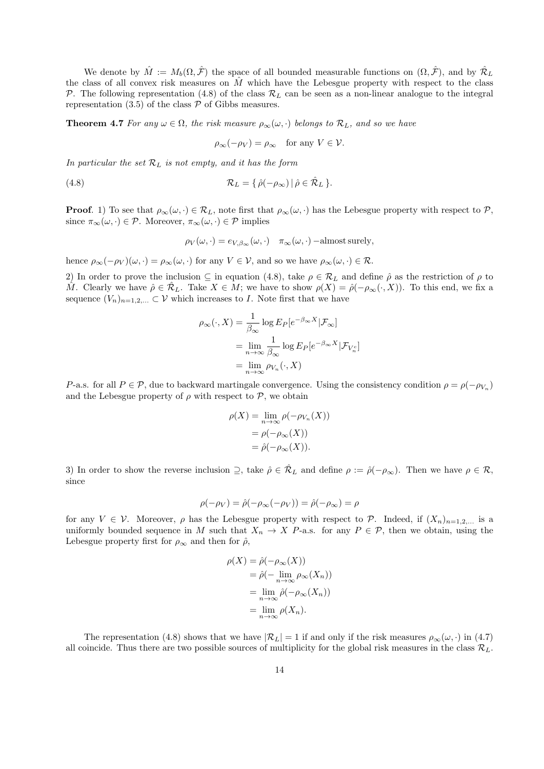We denote by  $\hat{M} := M_b(\Omega, \hat{\mathcal{F}})$  the space of all bounded measurable functions on  $(\Omega, \hat{\mathcal{F}})$ , and by  $\hat{\mathcal{R}}_L$ the class of all convex risk measures on  $\hat{M}$  which have the Lebesgue property with respect to the class P. The following representation (4.8) of the class  $\mathcal{R}_L$  can be seen as a non-linear analogue to the integral representation  $(3.5)$  of the class  $P$  of Gibbs measures.

**Theorem 4.7** For any  $\omega \in \Omega$ , the risk measure  $\rho_{\infty}(\omega, \cdot)$  belongs to  $\mathcal{R}_L$ , and so we have

 $\rho_{\infty}(-\rho_V) = \rho_{\infty}$  for any  $V \in \mathcal{V}$ .

In particular the set  $\mathcal{R}_L$  is not empty, and it has the form

(4.8) 
$$
\mathcal{R}_L = \{ \hat{\rho}(-\rho_\infty) \, | \, \hat{\rho} \in \hat{\mathcal{R}}_L \}.
$$

**Proof.** 1) To see that  $\rho_{\infty}(\omega, \cdot) \in \mathcal{R}_L$ , note first that  $\rho_{\infty}(\omega, \cdot)$  has the Lebesgue property with respect to  $\mathcal{P}$ , since  $\pi_{\infty}(\omega, \cdot) \in \mathcal{P}$ . Moreover,  $\pi_{\infty}(\omega, \cdot) \in \mathcal{P}$  implies

$$
\rho_V(\omega, \cdot) = e_{V, \beta_\infty}(\omega, \cdot) \quad \pi_\infty(\omega, \cdot)
$$
 –almost surely,

hence  $\rho_{\infty}(-\rho_V)(\omega, \cdot) = \rho_{\infty}(\omega, \cdot)$  for any  $V \in \mathcal{V}$ , and so we have  $\rho_{\infty}(\omega, \cdot) \in \mathcal{R}$ .

2) In order to prove the inclusion  $\subseteq$  in equation (4.8), take  $\rho \in \mathcal{R}_L$  and define  $\hat{\rho}$  as the restriction of  $\rho$  to  $\hat{M}$ . Clearly we have  $\hat{\rho} \in \hat{\mathcal{R}}_L$ . Take  $X \in M$ ; we have to show  $\rho(X)=\hat{\rho}(-\rho_{\infty}(\cdot, X))$ . To this end, we fix a sequence  $(V_n)_{n=1,2,\ldots} \subset V$  which increases to I. Note first that we have

$$
\rho_{\infty}(\cdot, X) = \frac{1}{\beta_{\infty}} \log E_P[e^{-\beta_{\infty}X} | \mathcal{F}_{\infty}]
$$
  
= 
$$
\lim_{n \to \infty} \frac{1}{\beta_{\infty}} \log E_P[e^{-\beta_{\infty}X} | \mathcal{F}_{V_n^c}]
$$
  
= 
$$
\lim_{n \to \infty} \rho_{V_n}(\cdot, X)
$$

P-a.s. for all  $P \in \mathcal{P}$ , due to backward martingale convergence. Using the consistency condition  $\rho = \rho(-\rho_{V_n})$ and the Lebesgue property of  $\rho$  with respect to  $\mathcal{P}$ , we obtain

$$
\rho(X) = \lim_{n \to \infty} \rho(-\rho_{V_n}(X))
$$

$$
= \rho(-\rho_{\infty}(X))
$$

$$
= \hat{\rho}(-\rho_{\infty}(X)).
$$

3) In order to show the reverse inclusion  $\supseteq$ , take  $\hat{\rho} \in \hat{\mathcal{R}}_L$  and define  $\rho := \hat{\rho}(-\rho_{\infty})$ . Then we have  $\rho \in \mathcal{R}$ , since

$$
\rho(-\rho_V) = \hat{\rho}(-\rho_\infty(-\rho_V)) = \hat{\rho}(-\rho_\infty) = \rho
$$

for any  $V \in \mathcal{V}$ . Moreover,  $\rho$  has the Lebesgue property with respect to  $\mathcal{P}$ . Indeed, if  $(X_n)_{n=1,2,...}$  is a uniformly bounded sequence in M such that  $X_n \to X$  P-a.s. for any  $P \in \mathcal{P}$ , then we obtain, using the Lebesgue property first for  $\rho_{\infty}$  and then for  $\hat{\rho}$ ,

$$
\rho(X) = \hat{\rho}(-\rho_{\infty}(X))
$$
  
=  $\hat{\rho}(-\lim_{n \to \infty} \rho_{\infty}(X_n))$   
=  $\lim_{n \to \infty} \hat{\rho}(-\rho_{\infty}(X_n))$   
=  $\lim_{n \to \infty} \rho(X_n).$ 

The representation (4.8) shows that we have  $|\mathcal{R}_L| = 1$  if and only if the risk measures  $\rho_{\infty}(\omega, \cdot)$  in (4.7) all coincide. Thus there are two possible sources of multiplicity for the global risk measures in the class  $\mathcal{R}_L$ .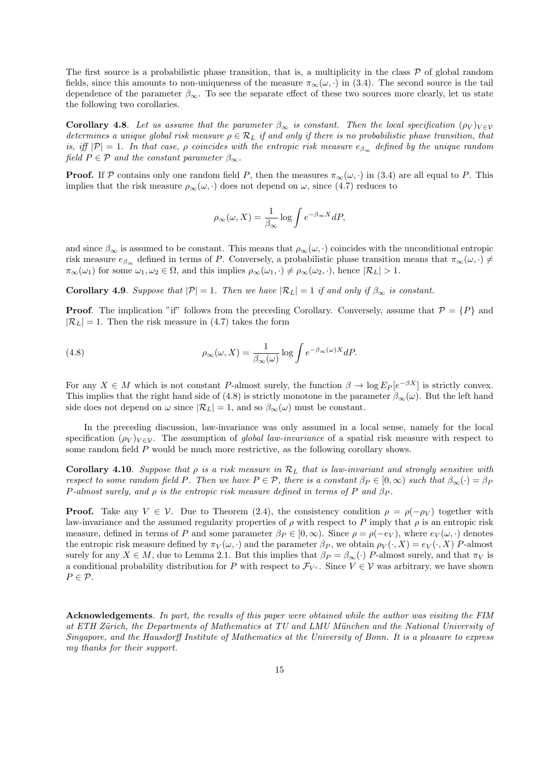The first source is a probabilistic phase transition, that is, a multiplicity in the class  $\mathcal P$  of global random fields, since this amounts to non-uniqueness of the measure  $\pi_{\infty}(\omega, \cdot)$  in (3.4). The second source is the tail dependence of the parameter  $\beta_{\infty}$ . To see the separate effect of these two sources more clearly, let us state the following two corollaries.

**Corollary 4.8.** Let us assume that the parameter  $\beta_{\infty}$  is constant. Then the local specification  $(\rho_V)_{V \in \mathcal{V}}$ determines a unique global risk measure  $\rho \in \mathcal{R}_L$  if and only if there is no probabilistic phase transition, that is, iff  $|\mathcal{P}| = 1$ . In that case,  $\rho$  coincides with the entropic risk measure  $e_{\beta_{\infty}}$  defined by the unique random field  $P \in \mathcal{P}$  and the constant parameter  $\beta_{\infty}$ .

**Proof.** If P contains only one random field P, then the measures  $\pi_{\infty}(\omega, \cdot)$  in (3.4) are all equal to P. This implies that the risk measure  $\rho_{\infty}(\omega, \cdot)$  does not depend on  $\omega$ , since (4.7) reduces to

$$
\rho_{\infty}(\omega, X) = \frac{1}{\beta_{\infty}} \log \int e^{-\beta_{\infty} X} dP,
$$

and since  $\beta_{\infty}$  is assumed to be constant. This means that  $\rho_{\infty}(\omega, \cdot)$  coincides with the unconditional entropic risk measure  $e_{\beta_{\infty}}$  defined in terms of P. Conversely, a probabilistic phase transition means that  $\pi_{\infty}(\omega, \cdot) \neq$  $\pi_{\infty}(\omega_1)$  for some  $\omega_1, \omega_2 \in \Omega$ , and this implies  $\rho_{\infty}(\omega_1, \cdot) \neq \rho_{\infty}(\omega_2, \cdot)$ , hence  $|\mathcal{R}_L| > 1$ .

**Corollary 4.9.** Suppose that  $|\mathcal{P}| = 1$ . Then we have  $|\mathcal{R}_L| = 1$  if and only if  $\beta_{\infty}$  is constant.

**Proof.** The implication "if" follows from the preceding Corollary. Conversely, assume that  $P = \{P\}$  and  $|\mathcal{R}_L| = 1$ . Then the risk measure in (4.7) takes the form

(4.8) 
$$
\rho_{\infty}(\omega, X) = \frac{1}{\beta_{\infty}(\omega)} \log \int e^{-\beta_{\infty}(\omega)X} dP.
$$

For any  $X \in M$  which is not constant P-almost surely, the function  $\beta \to \log E_P[e^{-\beta X}]$  is strictly convex. This implies that the right hand side of (4.8) is strictly monotone in the parameter  $\beta_{\infty}(\omega)$ . But the left hand side does not depend on  $\omega$  since  $|\mathcal{R}_L| = 1$ , and so  $\beta_{\infty}(\omega)$  must be constant.

In the preceding discussion, law-invariance was only assumed in a local sense, namely for the local specification  $(\rho_V)_{V\subset V}$ . The assumption of global law-invariance of a spatial risk measure with respect to some random field P would be much more restrictive, as the following corollary shows.

Corollary 4.10. Suppose that  $\rho$  is a risk measure in  $\mathcal{R}_L$  that is law-invariant and strongly sensitive with respect to some random field P. Then we have  $P \in \mathcal{P}$ , there is a constant  $\beta_P \in [0,\infty)$  such that  $\beta_\infty(\cdot) = \beta_P$ P-almost surely, and  $\rho$  is the entropic risk measure defined in terms of P and  $\beta_P$ .

**Proof.** Take any  $V \in \mathcal{V}$ . Due to Theorem (2.4), the consistency condition  $\rho = \rho(-\rho_V)$  together with law-invariance and the assumed regularity properties of  $\rho$  with respect to P imply that  $\rho$  is an entropic risk measure, defined in terms of P and some parameter  $\beta_P \in [0,\infty)$ . Since  $\rho = \rho(-e_V)$ , where  $e_V(\omega, \cdot)$  denotes the entropic risk measure defined by  $\pi_V(\omega, \cdot)$  and the parameter  $\beta_P$ , we obtain  $\rho_V(\cdot, X) = e_V(\cdot, X)$  P-almost surely for any  $X \in M$ , due to Lemma 2.1. But this implies that  $\beta_P = \beta_\infty(\cdot)$  P-almost surely, and that  $\pi_V$  is a conditional probability distribution for P with respect to  $\mathcal{F}_{V^c}$ . Since  $V \in \mathcal{V}$  was arbitrary, we have shown  $P \in \mathcal{P}$ .

Acknowledgements. In part, the results of this paper were obtained while the author was visiting the FIM at ETH Zürich, the Departments of Mathematics at TU and LMU München and the National University of Singapore, and the Hausdorff Institute of Mathematics at the University of Bonn. It is a pleasure to express my thanks for their support.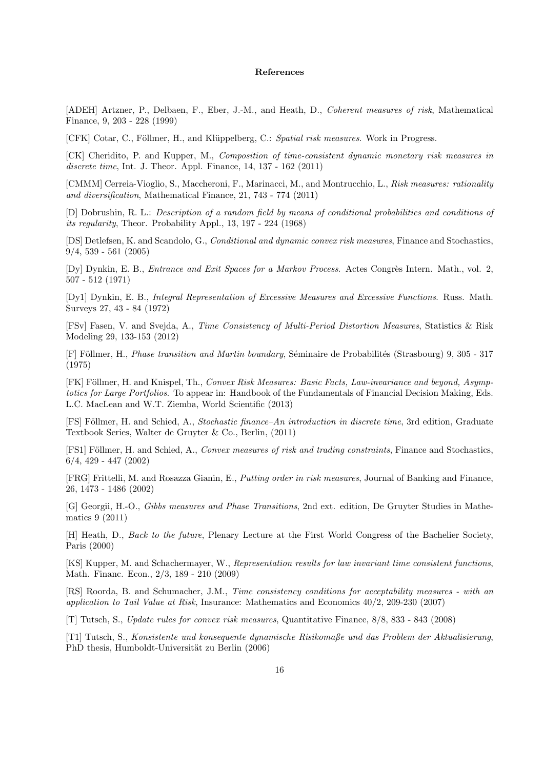#### References

[ADEH] Artzner, P., Delbaen, F., Eber, J.-M., and Heath, D., Coherent measures of risk, Mathematical Finance, 9, 203 - 228 (1999)

[CFK] Cotar, C., Föllmer, H., and Klüppelberg, C.: Spatial risk measures. Work in Progress.

[CK] Cheridito, P. and Kupper, M., Composition of time-consistent dynamic monetary risk measures in discrete time, Int. J. Theor. Appl. Finance, 14, 137 - 162 (2011)

[CMMM] Cerreia-Vioglio, S., Maccheroni, F., Marinacci, M., and Montrucchio, L., Risk measures: rationality and diversification, Mathematical Finance, 21, 743 - 774 (2011)

[D] Dobrushin, R. L.: Description of a random field by means of conditional probabilities and conditions of its regularity, Theor. Probability Appl., 13, 197 - 224 (1968)

[DS] Detlefsen, K. and Scandolo, G., Conditional and dynamic convex risk measures, Finance and Stochastics, 9/4, 539 - 561 (2005)

[Dy] Dynkin, E. B., *Entrance and Exit Spaces for a Markov Process.* Actes Congrès Intern. Math., vol. 2, 507 - 512 (1971)

[Dy1] Dynkin, E. B., Integral Representation of Excessive Measures and Excessive Functions. Russ. Math. Surveys 27, 43 - 84 (1972)

[FSv] Fasen, V. and Svejda, A., Time Consistency of Multi-Period Distortion Measures, Statistics & Risk Modeling 29, 133-153 (2012)

[F] Föllmer, H., *Phase transition and Martin boundary*, Séminaire de Probabilités (Strasbourg) 9, 305 - 317 (1975)

[FK] Föllmer, H. and Knispel, Th., Convex Risk Measures: Basic Facts, Law-invariance and beyond, Asymptotics for Large Portfolios. To appear in: Handbook of the Fundamentals of Financial Decision Making, Eds. L.C. MacLean and W.T. Ziemba, World Scientific (2013)

[FS] Föllmer, H. and Schied, A., Stochastic finance–An introduction in discrete time, 3rd edition, Graduate Textbook Series, Walter de Gruyter & Co., Berlin, (2011)

[FS1] Föllmer, H. and Schied, A., Convex measures of risk and trading constraints, Finance and Stochastics, 6/4, 429 - 447 (2002)

[FRG] Frittelli, M. and Rosazza Gianin, E., Putting order in risk measures, Journal of Banking and Finance, 26, 1473 - 1486 (2002)

[G] Georgii, H.-O., Gibbs measures and Phase Transitions, 2nd ext. edition, De Gruyter Studies in Mathematics 9 (2011)

[H] Heath, D., Back to the future, Plenary Lecture at the First World Congress of the Bachelier Society, Paris (2000)

[KS] Kupper, M. and Schachermayer, W., Representation results for law invariant time consistent functions, Math. Financ. Econ., 2/3, 189 - 210 (2009)

[RS] Roorda, B. and Schumacher, J.M., Time consistency conditions for acceptability measures - with an application to Tail Value at Risk, Insurance: Mathematics and Economics 40/2, 209-230 (2007)

[T] Tutsch, S., Update rules for convex risk measures, Quantitative Finance, 8/8, 833 - 843 (2008)

[T1] Tutsch, S., Konsistente und konsequente dynamische Risikomaße und das Problem der Aktualisierung, PhD thesis, Humboldt-Universität zu Berlin (2006)